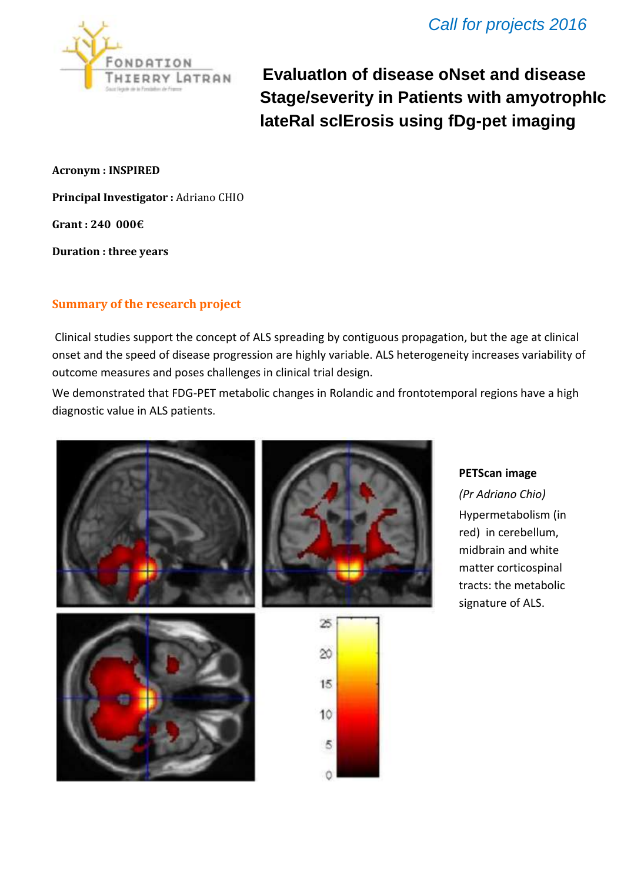

**EvaluatIon of disease oNset and disease Stage/severity in Patients with amyotrophIc lateRal sclErosis using fDg-pet imaging**

**Acronym : INSPIRED**

**Principal Investigator :** Adriano CHIO

**Grant : 240 000€**

**Duration : three years**

# **Summary of the research project**

Clinical studies support the concept of ALS spreading by contiguous propagation, but the age at clinical onset and the speed of disease progression are highly variable. ALS heterogeneity increases variability of outcome measures and poses challenges in clinical trial design.

We demonstrated that FDG-PET metabolic changes in Rolandic and frontotemporal regions have a high diagnostic value in ALS patients.



### **PETScan image**

*(Pr Adriano Chio)*  Hypermetabolism (in red) in cerebellum, midbrain and white matter corticospinal tracts: the metabolic signature of ALS.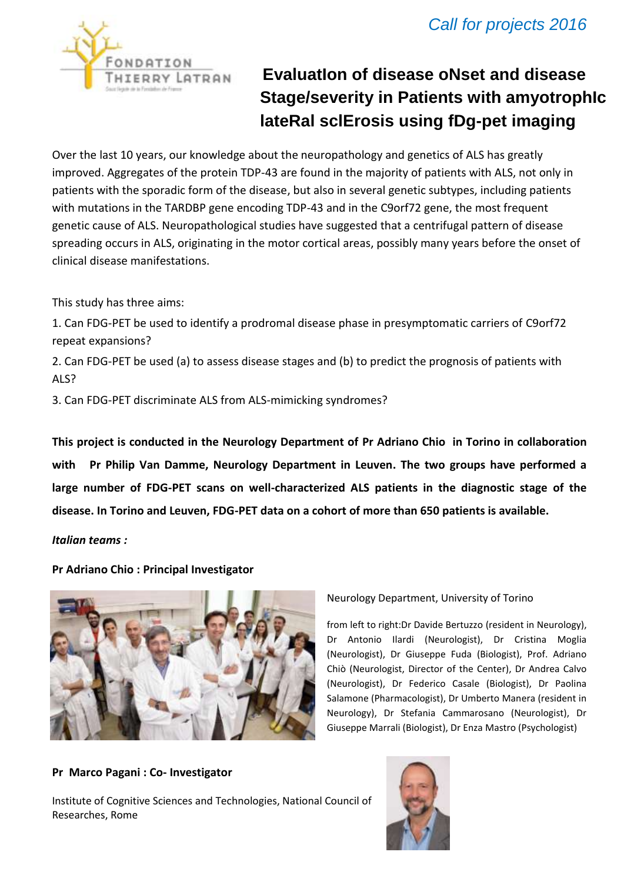

# **EvaluatIon of disease oNset and disease Stage/severity in Patients with amyotrophIc lateRal sclErosis using fDg-pet imaging**

Over the last 10 years, our knowledge about the neuropathology and genetics of ALS has greatly improved. Aggregates of the protein TDP-43 are found in the majority of patients with ALS, not only in patients with the sporadic form of the disease, but also in several genetic subtypes, including patients with mutations in the TARDBP gene encoding TDP-43 and in the C9orf72 gene, the most frequent genetic cause of ALS. Neuropathological studies have suggested that a centrifugal pattern of disease spreading occurs in ALS, originating in the motor cortical areas, possibly many years before the onset of clinical disease manifestations.

This study has three aims:

1. Can FDG-PET be used to identify a prodromal disease phase in presymptomatic carriers of C9orf72 repeat expansions?

2. Can FDG-PET be used (a) to assess disease stages and (b) to predict the prognosis of patients with ALS?

3. Can FDG-PET discriminate ALS from ALS-mimicking syndromes?

**This project is conducted in the Neurology Department of Pr Adriano Chio in Torino in collaboration with Pr Philip Van Damme, Neurology Department in Leuven. The two groups have performed a large number of FDG-PET scans on well-characterized ALS patients in the diagnostic stage of the disease. In Torino and Leuven, FDG-PET data on a cohort of more than 650 patients is available.** 

*Italian teams :*

**Pr Adriano Chio : Principal Investigator**



## Neurology Department, University of Torino

from left to right:Dr Davide Bertuzzo (resident in Neurology), Dr Antonio Ilardi (Neurologist), Dr Cristina Moglia (Neurologist), Dr Giuseppe Fuda (Biologist), Prof. Adriano Chiò (Neurologist, Director of the Center), Dr Andrea Calvo (Neurologist), Dr Federico Casale (Biologist), Dr Paolina Salamone (Pharmacologist), Dr Umberto Manera (resident in Neurology), Dr Stefania Cammarosano (Neurologist), Dr Giuseppe Marrali (Biologist), Dr Enza Mastro (Psychologist)

### **Pr Marco Pagani : Co- Investigator**

Institute of Cognitive Sciences and Technologies, National Council of Researches, Rome